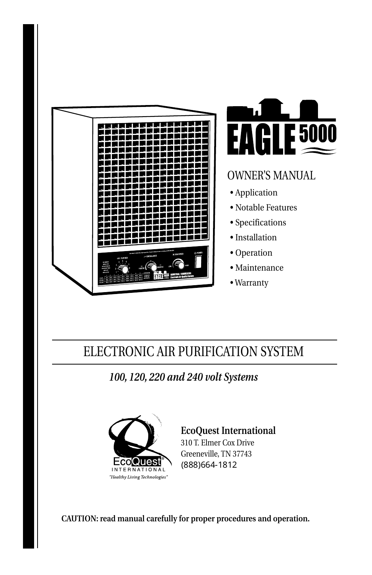



## **OWNER'S MANUAL**

- •Application
- Notable Features
- •Specifications
- •Installation
- •Operation
- •Maintenance
- •Warranty

# ELECTRONIC AIR PURIFICATION SYSTEM

*100,120,220and240voltSystems*



**EcoQuest International** 310T.ElmerCoxDrive Greeneville, TN 37743 (888)664-1812

CAUTION: read manual carefully for proper procedures and operation.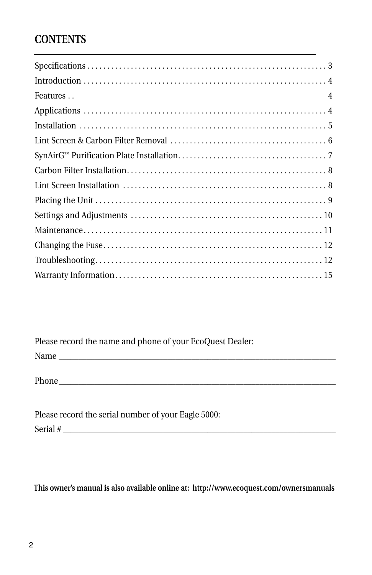## **CONTENTS**

Please record the name and phone of your EcoQuest Dealer:

Name\_\_\_\_\_\_\_\_\_\_\_\_\_\_\_\_\_\_\_\_\_\_\_\_\_\_\_\_\_\_\_\_\_\_\_\_\_\_\_\_\_\_\_\_\_\_\_\_\_\_\_\_\_\_\_\_\_\_\_\_\_\_\_\_\_\_\_\_\_

Phone\_\_\_\_\_\_\_\_\_\_\_\_\_\_\_\_\_\_\_\_\_\_\_\_\_\_\_\_\_\_\_\_\_\_\_\_\_\_\_\_\_\_\_\_\_\_\_\_\_\_\_\_\_\_\_\_\_\_\_\_\_\_\_\_\_\_\_\_\_

| Please record the serial number of your Eagle 5000: |
|-----------------------------------------------------|
| Serial #                                            |

This owner's manual is also available online at: http://www.ecoquest.com/ownersmanuals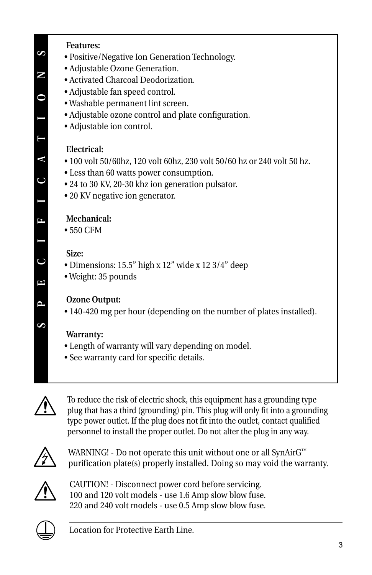#### **Features:**

- Positive/Negative Ion Generation Technology.
- Adjustable Ozone Generation.
- Activated Charcoal Deodorization.
- Adjustable fan speed control.
- Washable permanent lint screen.
- Adjustable ozone control and plate configuration.
- Adjustable ion control.

#### **Electrical:**

- 100 volt 50/60hz, 120 volt 60hz, 230 volt 50/60 hz or 240 volt 50 hz.
- Less than 60 watts power consumption.
- 24 to 30 KV, 20-30 khz ion generation pulsator.
- 20 KV negative ion generator.

#### **Mechanical:**

•550CFM

#### **Size:**

- •Dimensions:15.5"highx12"widex123/4"deep
- Weight: 35 pounds

#### **Ozone Output:**

• 140-420 mg per hour (depending on the number of plates installed).

#### **Warranty:**

- Length of warranty will vary depending on model.
- See warranty card for specific details.



To reduce the risk of electric shock, this equipment has a grounding type plug that has a third (grounding) pin. This plug will only fit into a grounding type power outlet. If the plug does not fit into the outlet, contact qualified personnel to install the proper outlet. Do not alter the plug in any way.



WARNING! - Do not operate this unit without one or all SynAirG™ purification plate(s) properly installed. Doing so may void the warranty.



CAUTION! - Disconnect power cord before servicing. 100 and 120 volt models - use 1.6 Amp slow blow fuse. 220 and 240 volt models - use 0.5 Amp slow blow fuse.



Location for Protective Earth Line.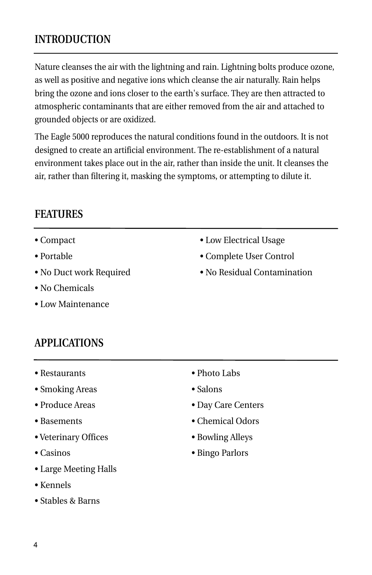## **INTRODUCTION**

Nature cleanses the air with the lightning and rain. Lightning bolts produce ozone, as well as positive and negative ions which cleanse the air naturally. Rain helps bring the ozone and ions closer to the earth's surface. They are then attracted to atmospheric contaminants that are either removed from the air and attached to grounded objects or are oxidized.

The Eagle 5000 reproduces the natural conditions found in the outdoors. It is not designed to create an artificial environment. The re-establishment of a natural environment takes place out in the air, rather than inside the unit. It cleanses the air, rather than filtering it, masking the symptoms, or attempting to dilute it.

### **FEATURES**

- •Compact
- •Portable
- No Duct work Required
- •NoChemicals
- •LowMaintenance
- Low Electrical Usage
- Complete User Control
- No Residual Contamination

### **APPLICATIONS**

- •Restaurants
- Smoking Areas
- •ProduceAreas
- •Basements
- •VeterinaryOffices
- •Casinos
- Large Meeting Halls
- •Kennels
- Stables & Barns
- Photo Labs
- Salons
- Day Care Centers
- Chemical Odors
- •BowlingAlleys
- Bingo Parlors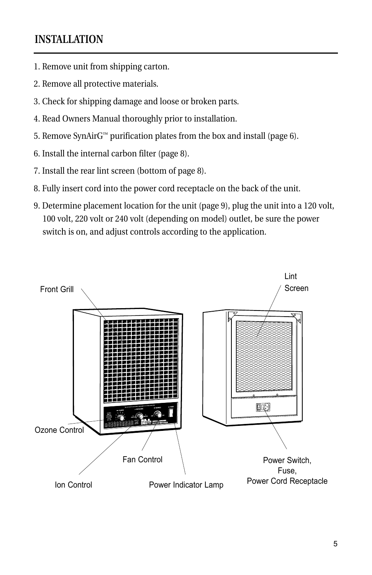## **INSTALLATION**

- 1. Remove unit from shipping carton.
- 2. Remove all protective materials.
- 3. Check for shipping damage and loose or broken parts.
- 4. Read Owners Manual thoroughly prior to installation.
- 5. Remove SynAirG<sup>™</sup> purification plates from the box and install (page 6).
- 6. Install the internal carbon filter (page 8).
- 7. Install the rear lint screen (bottom of page 8).
- 8. Fully insert cord into the power cord receptacle on the back of the unit.
- 9. Determine placement location for the unit (page 9), plug the unit into a 120 volt, 100 volt, 220 volt or 240 volt (depending on model) outlet, be sure the power switch is on, and adjust controls according to the application.

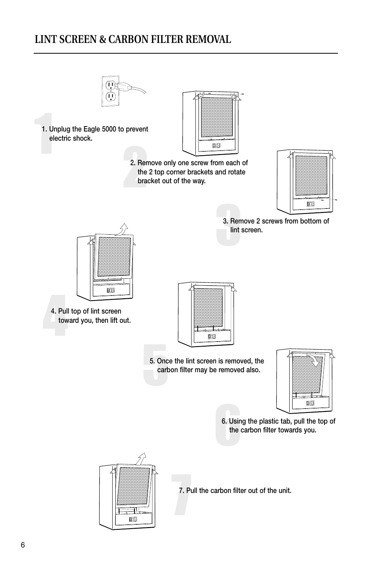## **LINT SCREEN & CARBON FILTER REMOVAL**



1. Unplug the Eagle 5000 to prevent electric shock.



2. Remove only one screw from each of the 2 top corner brackets and rotate bracket out of the way.



3. Remove 2 screws from bottom of lint screen.



4. Pull top of lint screen toward you, then lift out.



5. Once the lint screen is removed, the carbon filter may be removed also.



6. Using the plastic tab, pull the top of the carbon filter towards you.



7. Pull the carbon filter out of the unit.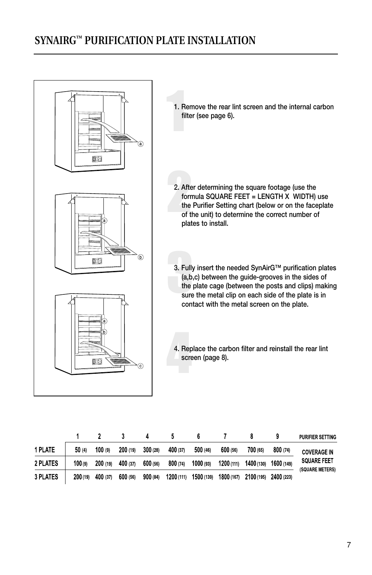## **SYNAIRG™ PURIFICATION PLATE INSTALLATION**



|                 |         |          |          |          |            |            |            |            |            | <b>PURFIER SETTING</b>                                      |
|-----------------|---------|----------|----------|----------|------------|------------|------------|------------|------------|-------------------------------------------------------------|
| 1 PLATE         | 50 (4)  | 100 (9)  | 200 (19) | 300(28)  | 400 (37)   | 500 (46)   | 600 (56)   | 700 (65)   | 800 (74)   | <b>COVERAGE IN</b><br><b>SQUARE FEET</b><br>(SQUARE METERS) |
| 2 PLATES        | 100(9)  | 200 (19) | 400 (37) | 600 (56) | 800(74)    | 1000 (93)  | 1200 (111) | 1400 (130) | 1600 (149) |                                                             |
| <b>3 PLATES</b> | 200(19) | 400 (37) | 600 (56) | 900(84)  | 1200 (111) | 1500 (139) | 1800 (167) | 2100 (195) | 2400 (223) |                                                             |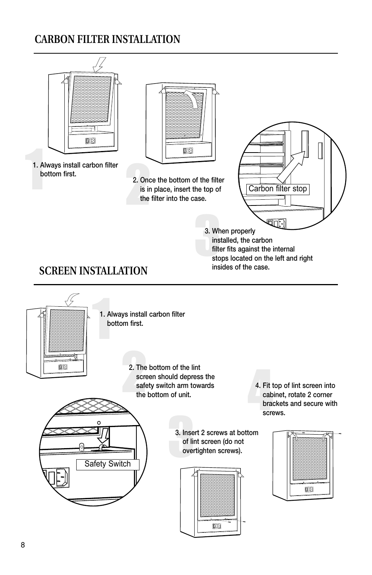## **CARBON FILTER INSTALLATION**

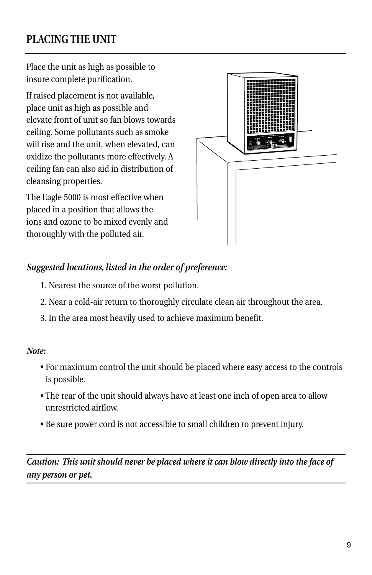## **PLACINGTHEUNIT**

Place the unit as high as possible to insure complete purification.

If raised placement is not available, place unit as high as possible and elevate front of unit so fan blows towards ceiling. Some pollutants such as smoke will rise and the unit, when elevated, can oxidize the pollutants more effectively. A ceiling fan can also aid in distribution of cleansing properties.

The Eagle 5000 is most effective when placed in a position that allows the ions and ozone to be mixed evenly and thoroughly with the polluted air.



#### Suggested locations, listed in the order of preference:

- 1. Nearest the source of the worst pollution.
- 2. Near a cold-air return to thoroughly circulate clean air throughout the area.
- 3. In the area most heavily used to achieve maximum benefit.

#### *Note:*

- For maximum control the unit should be placed where easy access to the controls is possible.
- The rear of the unit should always have at least one inch of open area to allow unrestrictedairflow.
- Be sure power cord is not accessible to small children to prevent injury.

*Caution: This unit should never be placed where it can blow directly into the face of anypersonorpet.*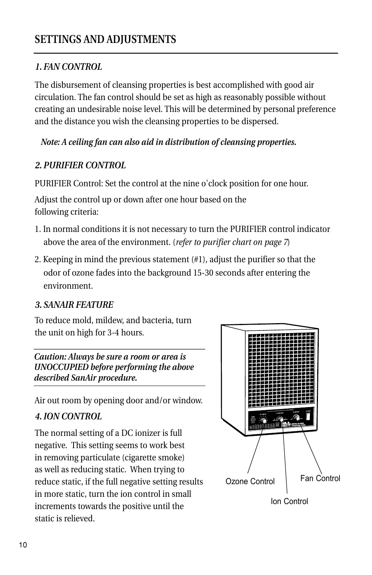#### *1.FANCONTROL*

The disbursement of cleansing properties is best accomplished with good air circulation. The fan control should be set as high as reasonably possible without creating an undesirable noise level. This will be determined by personal preference and the distance you wish the cleansing properties to be dispersed.

#### *Note: A ceiling fan can also aid in distribution of cleansing properties.*

#### *2.PURIFIERCONTROL*

PURIFIER Control: Set the control at the nine o'clock position for one hour.

Adjust the control up or down after one hour based on the following criteria:

- 1. In normal conditions it is not necessary to turn the PURIFIER control indicator above the area of the environment. (*refer to purifier chart on page* 7)
- 2. Keeping in mind the previous statement  $(\#1)$ , adjust the purifier so that the odor of ozone fades into the background 15-30 seconds after entering the environment.

#### **3. SANAIR FEATURE**

To reduce mold, mildew, and bacteria, turn the unit on high for 3-4 hours.

*Caution: Always be sure a room or area is UNOCCUPIED before performing the above*  $described$  SanAir procedure.

Air out room by opening door and/or window.

#### *4.IONCONTROL*

The normal setting of a DC ionizer is full negative. This setting seems to work best in removing particulate (cigarette smoke) as well as reducing static. When trying to reduce static, if the full negative setting results in more static, turn the ion control in small increments towards the positive until the static is relieved.

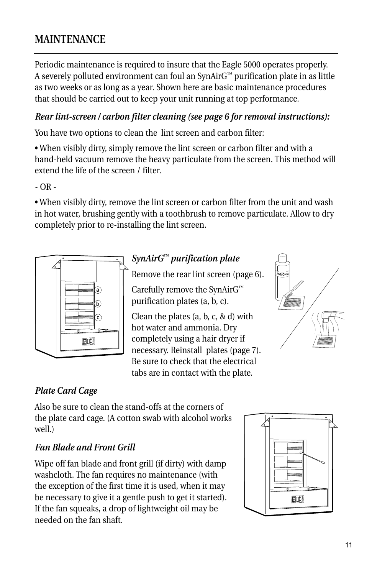## **MAINTENANCE**

Periodic maintenance is required to insure that the Eagle 5000 operates properly. A severely polluted environment can foul an SynAirG™ purification plate in as little as two weeks or as long as a year. Shown here are basic maintenance procedures that should be carried out to keep your unit running at top performance.

#### *Rear lint-screen / carbon filter cleaning (see page 6 for removal instructions):*

You have two options to clean the lint screen and carbon filter:

• When visibly dirty, simply remove the lint screen or carbon filter and with a hand-held vacuum remove the heavy particulate from the screen. This method will extend the life of the screen / filter

 $-$  OR  $-$ 

• When visibly dirty, remove the lint screen or carbon filter from the unit and wash in hot water, brushing gently with a toothbrush to remove particulate. Allow to dry completely prior to re-installing the lint screen.



### *SynAirG™purificationplate*

Remove the rear lint screen (page 6).

Carefully remove the SynAirG™ purification plates (a, b, c).

Clean the plates  $(a, b, c, \& d)$  with hot water and ammonia. Dry completely using a hair dryer if necessary. Reinstall plates (page 7). Be sure to check that the electrical tabs are in contact with the plate.



### **Plate Card Cage**

Also be sure to clean the stand-offs at the corners of the plate card cage. (A cotton swab with alcohol works well.)

#### *FanBladeandFrontGrill*

Wipe off fan blade and front grill (if dirty) with damp washcloth. The fan requires no maintenance (with the exception of the first time it is used, when it may be necessary to give it a gentle push to get it started). If the fan squeaks, a drop of lightweight oil may be needed on the fan shaft.

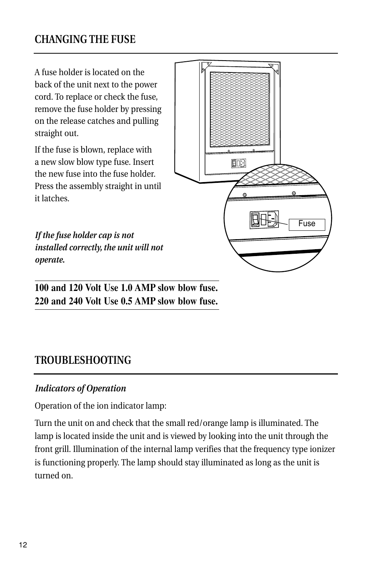### **CHANGING THE FUSE**

A fuse holder is located on the back of the unit next to the power cord. To replace or check the fuse, remove the fuse holder by pressing on the release catches and pulling straight out.

If the fuse is blown, replace with a new slow blow type fuse. Insert the new fuse into the fuse holder Press the assembly straight in until itlatches.

If the fuse holder cap is not *installed correctly, the unit will not operate.*

**100and120VoltUse1.0 AMPslowblowfuse. 220and240VoltUse0.5 AMPslowblowfuse.**

### **TROUBLESHOOTING**

#### **Indicators of Operation**

Operation of the ion indicator lamp:

Turn the unit on and check that the small red/orange lamp is illuminated. The lamp is located inside the unit and is viewed by looking into the unit through the front grill. Illumination of the internal lamp verifies that the frequency type ionizer is functioning properly. The lamp should stay illuminated as long as the unit is turned on.

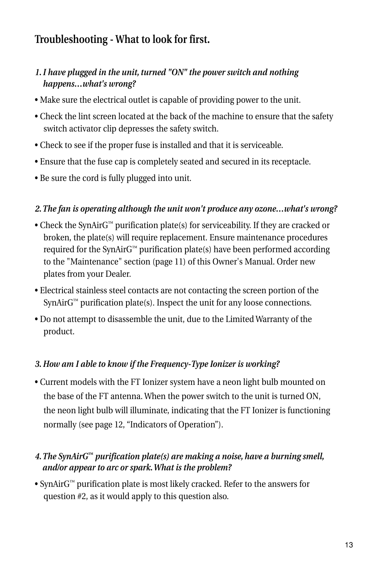## **Troubleshooting - What to look for first.**

#### 1. I have plugged in the unit, turned "ON" the power switch and nothing *happens…what'swrong?*

- Make sure the electrical outlet is capable of providing power to the unit.
- Check the lint screen located at the back of the machine to ensure that the safety switch activator clip depresses the safety switch.
- Check to see if the proper fuse is installed and that it is serviceable.
- Ensure that the fuse cap is completely seated and secured in its receptacle.
- Be sure the cord is fully plugged into unit.

#### *2.Thefanisoperatingalthoughtheunitwon'tproduceanyozone…what'swrong?*

- Check the SynAirG<sup>™</sup> purification plate(s) for serviceability. If they are cracked or broken, the plate(s) will require replacement. Ensure maintenance procedures required for the SynAirG<sup>™</sup> purification plate(s) have been performed according to the "Maintenance" section (page 11) of this Owner's Manual. Order new plates from your Dealer.
- Electrical stainless steel contacts are not contacting the screen portion of the  $SynAirG<sup>m</sup>$  purification plate(s). Inspect the unit for any loose connections.
- Do not attempt to disassemble the unit, due to the Limited Warranty of the product.

#### 3. How am I able to know if the Frequency-Type Ionizer is working?

• Current models with the FT Ionizer system have a neon light bulb mounted on the base of the FT antenna. When the power switch to the unit is turned ON, the neon light bulb will illuminate, indicating that the FT Ionizer is functioning normally (see page 12, "Indicators of Operation").

#### *4.TheSynAirG™purificationplate(s)aremakinganoise,haveaburningsmell, and/or appear to arc or spark. What is the problem?*

• SynAirG™ purification plate is most likely cracked. Refer to the answers for question #2, as it would apply to this question also.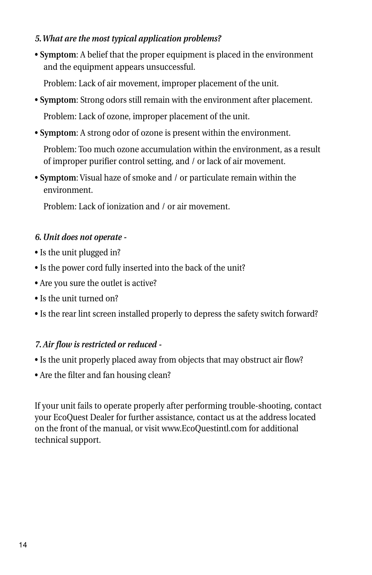#### 5. What are the most typical application problems?

• **Symptom:** A belief that the proper equipment is placed in the environment and the equipment appears unsuccessful.

Problem: Lack of air movement, improper placement of the unit.

- **Symptom**: Strong odors still remain with the environment after placement. Problem: Lack of ozone, improper placement of the unit.
- **Symptom:** A strong odor of ozone is present within the environment.

Problem: Too much ozone accumulation within the environment, as a result of improper purifier control setting, and / or lack of air movement.

• Symptom: Visual haze of smoke and / or particulate remain within the environment.

Problem: Lack of ionization and Lor air movement.

#### *6.Unitdoesnotoperate-*

- Is the unit plugged in?
- Is the power cord fully inserted into the back of the unit?
- Are you sure the outlet is active?
- Is the unit turned on?
- Is the rear lint screen installed properly to depress the safety switch forward?

#### *7.Airflowisrestrictedorreduced-*

- Is the unit properly placed away from objects that may obstruct air flow?
- Are the filter and fan housing clean?

If your unit fails to operate properly after performing trouble-shooting, contact your EcoQuest Dealer for further assistance, contact us at the address located on the front of the manual, or visit www.EcoQuestintl.com for additional technical support.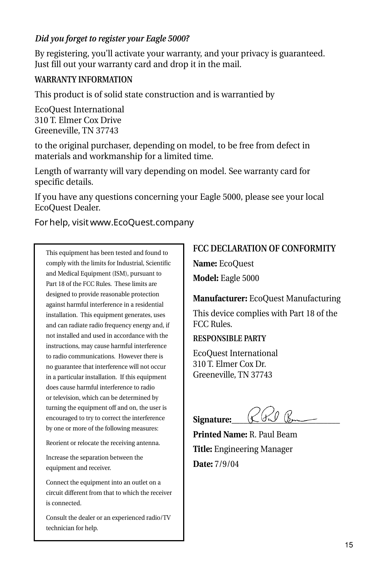#### *Did you forget to register your Eagle 5000?*

By registering, you'll activate your warranty, and your privacy is guaranteed. Just fill out your warranty card and drop it in the mail.

#### **WARRANTYINFORMATION**

This product is of solid state construction and is warrantied by

EcoQuest International 310T.ElmerCoxDrive Greeneville,TN37743

to the original purchaser, depending on model, to be free from defect in materials and workmanship for a limited time.

Length of warranty will vary depending on model. See warranty card for specific details.

If you have any questions concerning your Eagle 5000, please see your local EcoOuest Dealer.

Forhelp, visitwww.EcoQuest.company

This equipment has been tested and found to comply with the limits for Industrial, Scientific and Medical Equipment (ISM), pursuant to Part 18 of the FCC Rules. These limits are designed to provide reasonable protection against harmful interference in a residential installation. This equipment generates, uses and can radiate radio frequency energy and, if not installed and used in accordance with the instructions, may cause harmful interference to radio communications. However there is no guarantee that interference will not occur in a particular installation. If this equipment does cause harmful interference to radio or television, which can be determined by turning the equipment off and on, the user is encouraged to try to correct the interference by one or more of the following measures:

Reorient or relocate the receiving antenna.

Increase the separation between the equipment and receiver.

Connect the equipment into an outlet on a circuit different from that to which the receiver is connected.

Consult the dealer or an experienced radio/TV technician for help.

#### **FCC DECLARATION OF CONFORMITY**

**Name:**EcoQuest Model: Eagle 5000

**Manufacturer:** EcoQuest Manufacturing

This device complies with Part 18 of the FCCRules.

#### **RESPONSIBLE PARTY**

EcoQuest International 310T.ElmerCoxDr. Greeneville,TN37743

Signature:

**Printed Name: R. Paul Beam Title:** Engineering Manager **Date:**7/9/04